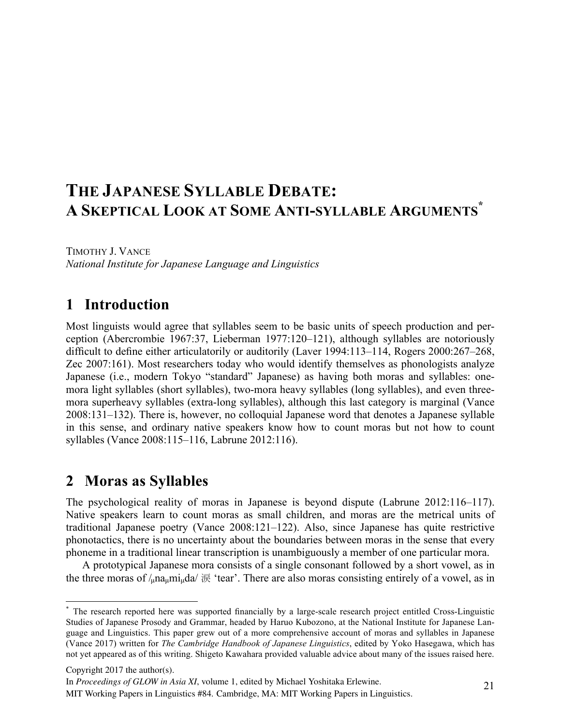# **THE JAPANESE SYLLABLE DEBATE: A SKEPTICAL LOOK AT SOME ANTI-SYLLABLE ARGUMENTS\***

TIMOTHY J. VANCE *National Institute for Japanese Language and Linguistics*

## **1** Introduction

Most linguists would agree that syllables seem to be basic units of speech production and perception (Abercrombie 1967:37, Lieberman 1977:120–121), although syllables are notoriously difficult to define either articulatorily or auditorily (Laver 1994:113–114, Rogers 2000:267–268, Zec 2007:161). Most researchers today who would identify themselves as phonologists analyze Japanese (i.e., modern Tokyo "standard" Japanese) as having both moras and syllables: onemora light syllables (short syllables), two-mora heavy syllables (long syllables), and even threemora superheavy syllables (extra-long syllables), although this last category is marginal (Vance 2008:131–132). There is, however, no colloquial Japanese word that denotes a Japanese syllable in this sense, and ordinary native speakers know how to count moras but not how to count syllables (Vance 2008:115–116, Labrune 2012:116).

# 2 Moras as Syllables

The psychological reality of moras in Japanese is beyond dispute (Labrune 2012:116–117). Native speakers learn to count moras as small children, and moras are the metrical units of traditional Japanese poetry (Vance 2008:121–122). Also, since Japanese has quite restrictive phonotactics, there is no uncertainty about the boundaries between moras in the sense that every phoneme in a traditional linear transcription is unambiguously a member of one particular mora.

A prototypical Japanese mora consists of a single consonant followed by a short vowel, as in the three moras of  $/$ <sub>u</sub>na<sub>u</sub>mi<sub>u</sub>da/  $\overline{\mathcal{R}}$  'tear'. There are also moras consisting entirely of a vowel, as in

Copyright 2017 the author(s).

In *Proceedings of GLOW in Asia XI*, volume 1, edited by Michael Yoshitaka Erlewine.

MIT Working Papers in Linguistics #84. Cambridge, MA: MIT Working Papers in Linguistics.

 <sup>\*</sup> The research reported here was supported financially by a large-scale research project entitled Cross-Linguistic Studies of Japanese Prosody and Grammar, headed by Haruo Kubozono, at the National Institute for Japanese Language and Linguistics. This paper grew out of a more comprehensive account of moras and syllables in Japanese (Vance 2017) written for *The Cambridge Handbook of Japanese Linguistics*, edited by Yoko Hasegawa, which has not yet appeared as of this writing. Shigeto Kawahara provided valuable advice about many of the issues raised here.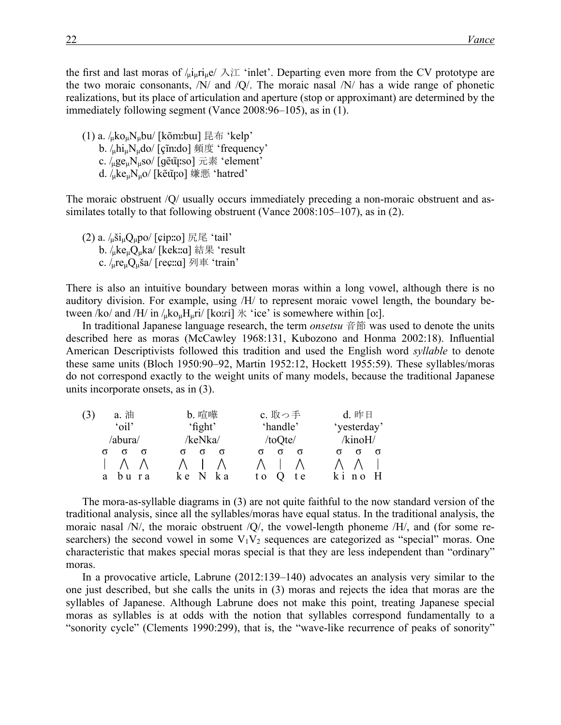the first and last moras of  $/\mu \mu r \mu e / \lambda T$  'inlet'. Departing even more from the CV prototype are the two moraic consonants, /N/ and /Q/. The moraic nasal /N/ has a wide range of phonetic realizations, but its place of articulation and aperture (stop or approximant) are determined by the immediately following segment (Vance 2008:96–105), as in (1).

(1) a.  $\lambda_{\mu}$ ko<sub>u</sub>N<sub>u</sub>bu/ [kõmːbɯ] 昆布 'kelp'  $b. /_{\mu}$ hi<sub>u</sub>N<sub>u</sub>do/ [çĩnːdo] 頻度 'frequency' c.  $\log_{\mu}$ N<sub>u</sub>so/ [ɡẽ $\tilde{\mu}$ ːso] 元素 'element' d.  $\sqrt{u}$ ke $\mu$ N $\mu$ o/ [kẽ $\tilde{u}$ ːo] 嫌悪 'hatred'

The moraic obstruent /Q/ usually occurs immediately preceding a non-moraic obstruent and assimilates totally to that following obstruent (Vance 2008:105–107), as in (2).

(2) a.  $\frac{1}{\mu}$ ši<sub>u</sub>Q<sub>u</sub>po/ [cipːːo] 尻尾 'tail' b.  $\mu$ ke $\mu$ Q $\mu$ ka/ [kekːːɑ] 結果 'result c.  $/_{\text{u}}$ re<sub>u</sub>Q<sub>u</sub>ša/ [reç::a] 列車 'train'

There is also an intuitive boundary between moras within a long vowel, although there is no auditory division. For example, using /H/ to represent moraic vowel length, the boundary between /ko/ and /H/ in  $\ell_{\rm u}$ ko<sub>u</sub>H<sub>u</sub>ri/ [koːri]  $\rm \#$  'ice' is somewhere within [oː].

In traditional Japanese language research, the term *onsetsu* 音節 was used to denote the units described here as moras (McCawley 1968:131, Kubozono and Honma 2002:18). Influential American Descriptivists followed this tradition and used the English word *syllable* to denote these same units (Bloch 1950:90–92, Martin 1952:12, Hockett 1955:59). These syllables/moras do not correspond exactly to the weight units of many models, because the traditional Japanese units incorporate onsets, as in (3).

| a. 油     | <b>b.</b> 喧嘩 | c. 取っ手     | d. 昨日       |
|----------|--------------|------------|-------------|
| 'oil'    | $'$ fight'   | 'handle'   | 'yesterday' |
| /abura/  | /keNka/      | /toQte/    | /kinoH/     |
| $\sigma$ |              |            |             |
|          |              |            |             |
| r a<br>a | k a<br>k e   | t e<br>t o |             |

The mora-as-syllable diagrams in (3) are not quite faithful to the now standard version of the traditional analysis, since all the syllables/moras have equal status. In the traditional analysis, the moraic nasal /N/, the moraic obstruent /Q/, the vowel-length phoneme /H/, and (for some researchers) the second vowel in some  $V_1V_2$  sequences are categorized as "special" moras. One characteristic that makes special moras special is that they are less independent than "ordinary" moras.

In a provocative article, Labrune (2012:139–140) advocates an analysis very similar to the one just described, but she calls the units in (3) moras and rejects the idea that moras are the syllables of Japanese. Although Labrune does not make this point, treating Japanese special moras as syllables is at odds with the notion that syllables correspond fundamentally to a "sonority cycle" (Clements 1990:299), that is, the "wave-like recurrence of peaks of sonority"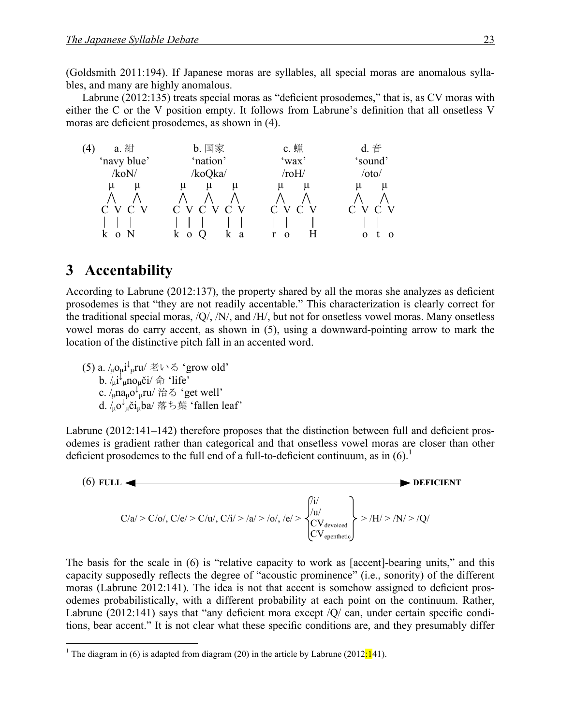(Goldsmith 2011:194). If Japanese moras are syllables, all special moras are anomalous syllables, and many are highly anomalous.

Labrune (2012:135) treats special moras as "deficient prosodemes," that is, as CV moras with either the C or the V position empty. It follows from Labrune's definition that all onsetless V moras are deficient prosodemes, as shown in (4).



#### **3** Accentability

According to Labrune (2012:137), the property shared by all the moras she analyzes as deficient prosodemes is that "they are not readily accentable." This characterization is clearly correct for the traditional special moras, /Q/, /N/, and /H/, but not for onsetless vowel moras. Many onsetless vowel moras do carry accent, as shown in (5), using a downward-pointing arrow to mark the location of the distinctive pitch fall in an accented word.

(5) a. / $\mu$ o $\mu$ i $\downarrow$ <sub> $\mu$ </sub>ru/ 老いる 'grow old' b.  $/\mu i^{\mu}$ <sub>µ</sub>no<sub>µ</sub>či/ 命 'life' c.  $\sinh \alpha \sqrt{\mu}$ ru/ 治る 'get well' d. /µo<sup>↓</sup> <sup>µ</sup>čiµba/ 落ち葉 'fallen leaf'

Labrune (2012:141–142) therefore proposes that the distinction between full and deficient prosodemes is gradient rather than categorical and that onsetless vowel moras are closer than other deficient prosodemes to the full end of a full-to-deficient continuum, as in  $(6)$ .<sup>1</sup>



The basis for the scale in (6) is "relative capacity to work as [accent]-bearing units," and this capacity supposedly reflects the degree of "acoustic prominence" (i.e., sonority) of the different moras (Labrune 2012:141). The idea is not that accent is somehow assigned to deficient prosodemes probabilistically, with a different probability at each point on the continuum. Rather, Labrune (2012:141) says that "any deficient mora except /Q/ can, under certain specific conditions, bear accent." It is not clear what these specific conditions are, and they presumably differ

<sup>&</sup>lt;sup>1</sup> The diagram in (6) is adapted from diagram (20) in the article by Labrune (2012:141).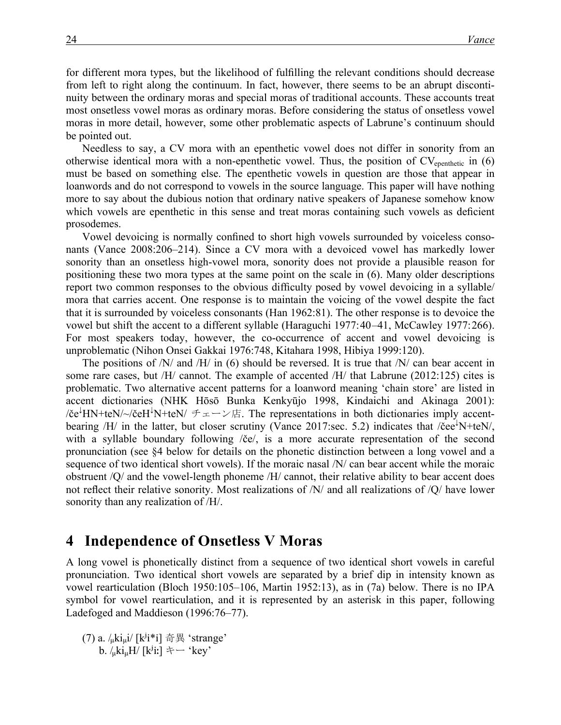for different mora types, but the likelihood of fulfilling the relevant conditions should decrease from left to right along the continuum. In fact, however, there seems to be an abrupt discontinuity between the ordinary moras and special moras of traditional accounts. These accounts treat most onsetless vowel moras as ordinary moras. Before considering the status of onsetless vowel moras in more detail, however, some other problematic aspects of Labrune's continuum should be pointed out.

Needless to say, a CV mora with an epenthetic vowel does not differ in sonority from an otherwise identical mora with a non-epenthetic vowel. Thus, the position of  $CV_{\text{epenthetic}}$  in (6) must be based on something else. The epenthetic vowels in question are those that appear in loanwords and do not correspond to vowels in the source language. This paper will have nothing more to say about the dubious notion that ordinary native speakers of Japanese somehow know which vowels are epenthetic in this sense and treat moras containing such vowels as deficient prosodemes.

Vowel devoicing is normally confined to short high vowels surrounded by voiceless consonants (Vance 2008:206–214). Since a CV mora with a devoiced vowel has markedly lower sonority than an onsetless high-vowel mora, sonority does not provide a plausible reason for positioning these two mora types at the same point on the scale in (6). Many older descriptions report two common responses to the obvious difficulty posed by vowel devoicing in a syllable/ mora that carries accent. One response is to maintain the voicing of the vowel despite the fact that it is surrounded by voiceless consonants (Han 1962:81). The other response is to devoice the vowel but shift the accent to a different syllable (Haraguchi 1977:40–41, McCawley 1977:266). For most speakers today, however, the co-occurrence of accent and vowel devoicing is unproblematic (Nihon Onsei Gakkai 1976:748, Kitahara 1998, Hibiya 1999:120).

The positions of  $/N$  and  $/H$  in (6) should be reversed. It is true that  $/N$  can bear accent in some rare cases, but /H/ cannot. The example of accented /H/ that Labrune (2012:125) cites is problematic. Two alternative accent patterns for a loanword meaning 'chain store' are listed in accent dictionaries (NHK Hōsō Bunka Kenkyūjo 1998, Kindaichi and Akinaga 2001):  $\ell$ če<sup>↓</sup>HN+teN/~/čeH<sup>↓</sup>N+teN/ チェーン店. The representations in both dictionaries imply accentbearing /H/ in the latter, but closer scrutiny (Vance 2017:sec. 5.2) indicates that /cee<sup>1</sup>N+teN/, with a syllable boundary following /če/, is a more accurate representation of the second pronunciation (see §4 below for details on the phonetic distinction between a long vowel and a sequence of two identical short vowels). If the moraic nasal /N/ can bear accent while the moraic obstruent /Q/ and the vowel-length phoneme /H/ cannot, their relative ability to bear accent does not reflect their relative sonority. Most realizations of /N/ and all realizations of /Q/ have lower sonority than any realization of /H/.

#### **4** Independence of Onsetless V Moras

A long vowel is phonetically distinct from a sequence of two identical short vowels in careful pronunciation. Two identical short vowels are separated by a brief dip in intensity known as vowel rearticulation (Bloch 1950:105–106, Martin 1952:13), as in (7a) below. There is no IPA symbol for vowel rearticulation, and it is represented by an asterisk in this paper, following Ladefoged and Maddieson (1996:76–77).

(7) a.  $/\mu$ ki $\mu$ i/ [kʲi\*i] 奇異 'strange' b.  $/\mu$ ki $\mu$ H/ [k<sup>j</sup>iː] キー 'key'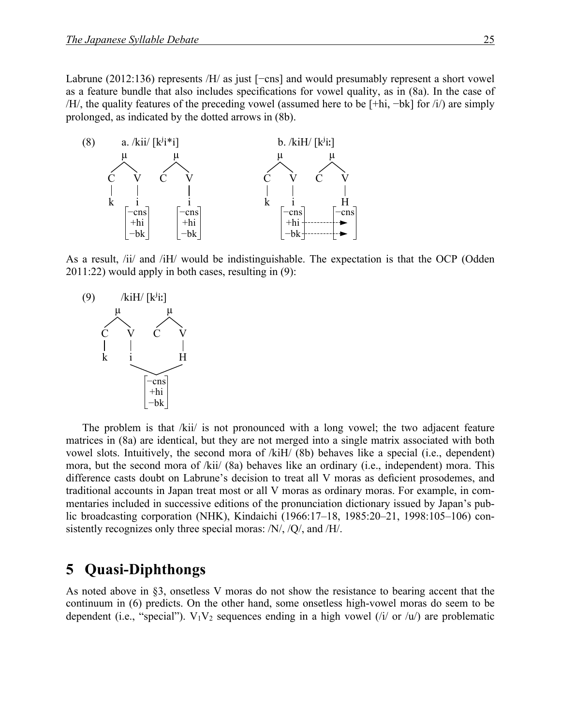Labrune (2012:136) represents /H/ as just [−cns] and would presumably represent a short vowel as a feature bundle that also includes specifications for vowel quality, as in (8a). In the case of /H/, the quality features of the preceding vowel (assumed here to be [+hi, −bk] for /i/) are simply prolonged, as indicated by the dotted arrows in (8b).



As a result, /ii/ and /iH/ would be indistinguishable. The expectation is that the OCP (Odden 2011:22) would apply in both cases, resulting in (9):



The problem is that /kii/ is not pronounced with a long vowel; the two adjacent feature matrices in (8a) are identical, but they are not merged into a single matrix associated with both vowel slots. Intuitively, the second mora of /kiH/ (8b) behaves like a special (i.e., dependent) mora, but the second mora of /kii/ (8a) behaves like an ordinary (i.e., independent) mora. This difference casts doubt on Labrune's decision to treat all V moras as deficient prosodemes, and traditional accounts in Japan treat most or all V moras as ordinary moras. For example, in commentaries included in successive editions of the pronunciation dictionary issued by Japan's public broadcasting corporation (NHK), Kindaichi (1966:17–18, 1985:20–21, 1998:105–106) consistently recognizes only three special moras: /N/, /Q/, and /H/.

#### **5**xx**Quasi-Diphthongs**

As noted above in §3, onsetless V moras do not show the resistance to bearing accent that the continuum in (6) predicts. On the other hand, some onsetless high-vowel moras do seem to be dependent (i.e., "special").  $V_1V_2$  sequences ending in a high vowel (/i/ or /u/) are problematic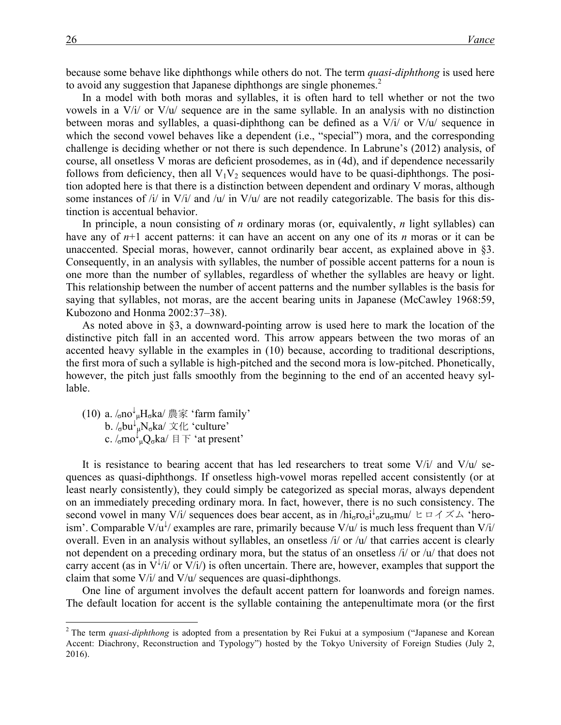because some behave like diphthongs while others do not. The term *quasi-diphthong* is used here to avoid any suggestion that Japanese diphthongs are single phonemes.<sup>2</sup>

In a model with both moras and syllables, it is often hard to tell whether or not the two vowels in a V/i/ or V/u/ sequence are in the same syllable. In an analysis with no distinction between moras and syllables, a quasi-diphthong can be defined as a  $V/i$  or  $V/u$  sequence in which the second vowel behaves like a dependent (i.e., "special") mora, and the corresponding challenge is deciding whether or not there is such dependence. In Labrune's (2012) analysis, of course, all onsetless V moras are deficient prosodemes, as in (4d), and if dependence necessarily follows from deficiency, then all  $V_1V_2$  sequences would have to be quasi-diphthongs. The position adopted here is that there is a distinction between dependent and ordinary V moras, although some instances of  $\frac{i}{i}$  in V/i/ and /u/ in V/u/ are not readily categorizable. The basis for this distinction is accentual behavior.

In principle, a noun consisting of *n* ordinary moras (or, equivalently, *n* light syllables) can have any of *n*+1 accent patterns: it can have an accent on any one of its *n* moras or it can be unaccented. Special moras, however, cannot ordinarily bear accent, as explained above in §3. Consequently, in an analysis with syllables, the number of possible accent patterns for a noun is one more than the number of syllables, regardless of whether the syllables are heavy or light. This relationship between the number of accent patterns and the number syllables is the basis for saying that syllables, not moras, are the accent bearing units in Japanese (McCawley 1968:59, Kubozono and Honma 2002:37–38).

As noted above in §3, a downward-pointing arrow is used here to mark the location of the distinctive pitch fall in an accented word. This arrow appears between the two moras of an accented heavy syllable in the examples in (10) because, according to traditional descriptions, the first mora of such a syllable is high-pitched and the second mora is low-pitched. Phonetically, however, the pitch just falls smoothly from the beginning to the end of an accented heavy syllable.

(10) a.  $/_{\sigma}$ no $^{\downarrow}$ <sub>µ</sub>H<sub>σ</sub>ka $/$  農家 'farm family' b.  $/_{\sigma}$ bu $\downarrow_{\mu}$ N<sub>σ</sub>ka $/ \times$  { $\angle$  'culture' c.  $\sinh \sqrt{\mu} Q_{\sigma}$ ka $/ \boxplus \top$ 'at present'

It is resistance to bearing accent that has led researchers to treat some  $V/i/$  and  $V/u/$  sequences as quasi-diphthongs. If onsetless high-vowel moras repelled accent consistently (or at least nearly consistently), they could simply be categorized as special moras, always dependent on an immediately preceding ordinary mora. In fact, however, there is no such consistency. The second vowel in many V/i/ sequences does bear accent, as in /hi<sub>σ</sub>ro<sub>σ</sub>i<sup> $\downarrow$ </sup><sub>σ</sub>zu<sub>σ</sub>mu/ ヒロイズム 'heroism'. Comparable  $V/u^{\frac{1}{2}}$  examples are rare, primarily because  $V/u^{\prime}$  is much less frequent than  $V/u^{\prime}$ overall. Even in an analysis without syllables, an onsetless /i/ or /u/ that carries accent is clearly not dependent on a preceding ordinary mora, but the status of an onsetless /i/ or /u/ that does not carry accent (as in  $\overline{V}^{\downarrow}/i$  or  $\overline{V}/i$ ) is often uncertain. There are, however, examples that support the claim that some V/i/ and V/u/ sequences are quasi-diphthongs.

One line of argument involves the default accent pattern for loanwords and foreign names. The default location for accent is the syllable containing the antepenultimate mora (or the first

<sup>&</sup>lt;sup>2</sup> The term *quasi-diphthong* is adopted from a presentation by Rei Fukui at a symposium ("Japanese and Korean Accent: Diachrony, Reconstruction and Typology") hosted by the Tokyo University of Foreign Studies (July 2, 2016).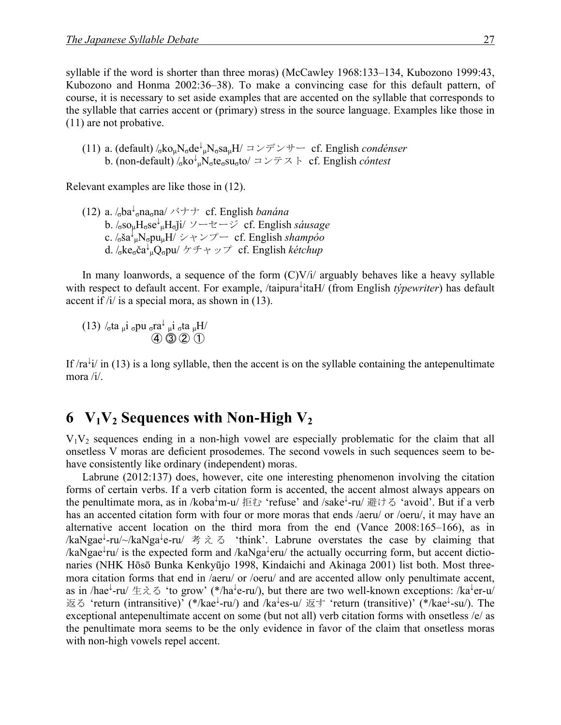syllable if the word is shorter than three moras) (McCawley 1968:133–134, Kubozono 1999:43, Kubozono and Honma 2002:36–38). To make a convincing case for this default pattern, of course, it is necessary to set aside examples that are accented on the syllable that corresponds to the syllable that carries accent or (primary) stress in the source language. Examples like those in (11) are not probative.

(11) a. (default)  $/_{6}$ ko<sub>µ</sub>N<sub>σ</sub>de<sup>↓</sup><sub>µ</sub>N<sub>σ</sub>sa<sub>µ</sub>H $/$  コンデンサー cf. English *condénser* b. (non-default)  $\sqrt{\frac{1}{6}}$ ko<sup>l</sup><sub>µ</sub>N<sub>σ</sub>te<sub>σ</sub>su<sub>σ</sub>to/ コンテスト cf. English *cóntest* 

Relevant examples are like those in (12).

(12) a. /σba<sup>↓</sup> <sup>σ</sup>naσna/ バナナ cf. English *banána* b. /σsoµHσse<sup>↓</sup> µHσǰi/ ソーセージ cf. English *sáusage* c. /σša ↓ µNσpuµH/ シャンプー cf. English *shampóo* d. /σkeσča ↓ µQσpu/ ケチャップ cf. English *kétchup*

In many loanwords, a sequence of the form  $(C)V/i$  arguably behaves like a heavy syllable with respect to default accent. For example, /taipura<sup>↓</sup> itaH/ (from English *týpewriter*) has default accent if /i/ is a special mora, as shown in (13).

(13) /<sub>σ</sub>ta <sub>μ</sub>i <sub>σ</sub>pu <sub>σ</sub>ra<sup> $\downarrow$ </sup> <sub>μ</sub>i <sub>σ</sub>ta <sub>μ</sub>H/  $(4)$   $(3)$   $(2)$   $(1)$ 

If  $/ra^{\frac{1}{2}}i$  in (13) is a long syllable, then the accent is on the syllable containing the antepenultimate mora /i/.

### **6**  $V_1V_2$  **Sequences with Non-High**  $V_2$

 $V_1V_2$  sequences ending in a non-high vowel are especially problematic for the claim that all onsetless V moras are deficient prosodemes. The second vowels in such sequences seem to behave consistently like ordinary (independent) moras.

Labrune (2012:137) does, however, cite one interesting phenomenon involving the citation forms of certain verbs. If a verb citation form is accented, the accent almost always appears on the penultimate mora, as in /koba↓m-u/ 拒む 'refuse' and /sake↓-ru/ 避ける 'avoid'. But if a verb has an accented citation form with four or more moras that ends /aeru/ or /oeru/, it may have an alternative accent location on the third mora from the end (Vance 2008:165–166), as in /kaNgae<sup>↓</sup>-ru/~/kaNga<sup>↓</sup>e-ru/ 考える 'think'. Labrune overstates the case by claiming that /kaNgae<sup>↓</sup> ru/ is the expected form and /kaNga<sup>↓</sup> eru/ the actually occurring form, but accent dictionaries (NHK Hōsō Bunka Kenkyūjo 1998, Kindaichi and Akinaga 2001) list both. Most threemora citation forms that end in /aeru/ or /oeru/ and are accented allow only penultimate accent, as in /hae<sup>↓</sup>-ru/ 生える 'to grow' (\*/ha<sup>↓</sup>e-ru/), but there are two well-known exceptions: /ka<sup>↓</sup>er-u/ 返る 'return (intransitive)' (\*/kae<sup>↓</sup>-ru/) and /ka<sup>↓</sup>es-u/ 返す 'return (transitive)' (\*/kae<sup>↓</sup>-su/). The exceptional antepenultimate accent on some (but not all) verb citation forms with onsetless /e/ as the penultimate mora seems to be the only evidence in favor of the claim that onsetless moras with non-high vowels repel accent.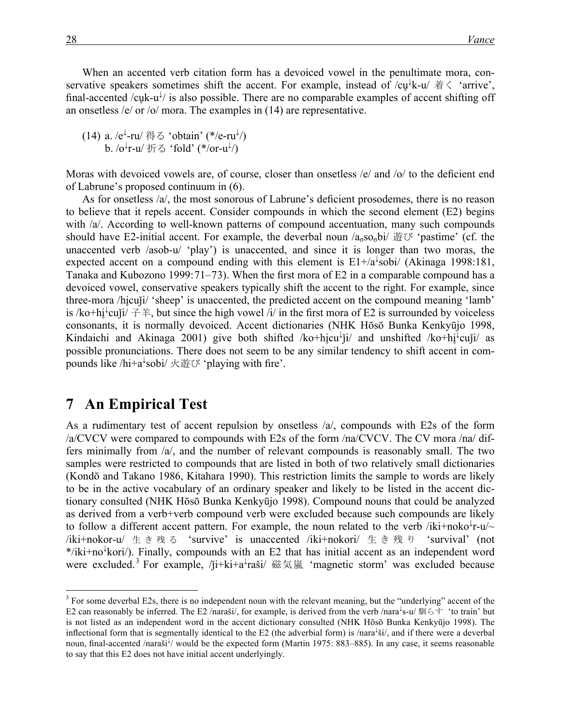When an accented verb citation form has a devoiced vowel in the penultimate mora, conservative speakers sometimes shift the accent. For example, instead of  $/c\psi^{\downarrow}k$ -u/  $\ddot{\pi} \langle$  'arrive', final-accented /cuk-u<sup>l</sup>/ is also possible. There are no comparable examples of accent shifting off an onsetless /e/ or /o/ mora. The examples in (14) are representative.

(14) a. / $e^{\downarrow}$ -ru/ 得る 'obtain' (\*/e-ru $\downarrow$ /) b. /o<sup>↓</sup>r-u/ 折る 'fold' (\*/or-u<sup>↓</sup>/)

Moras with devoiced vowels are, of course, closer than onsetless /e/ and /o/ to the deficient end of Labrune's proposed continuum in (6).

As for onsetless /a/, the most sonorous of Labrune's deficient prosodemes, there is no reason to believe that it repels accent. Consider compounds in which the second element (E2) begins with /a/. According to well-known patterns of compound accentuation, many such compounds should have E2-initial accent. For example, the deverbal noun  $a_{\sigma}$ so<sub> $\sigma$ </sub>bi/ 遊び 'pastime' (cf. the unaccented verb /asob-u/ 'play') is unaccented, and since it is longer than two moras, the expected accent on a compound ending with this element is  $E1+A^{\frac{1}{4}}$ sobi/ (Akinaga 1998:181, Tanaka and Kubozono 1999:71–73). When the first mora of E2 in a comparable compound has a devoiced vowel, conservative speakers typically shift the accent to the right. For example, since three-mora /hi̯cuji/ 'sheep' is unaccented, the predicted accent on the compound meaning 'lamb' is /ko+hi̥<sup> $\downarrow$ </sup>cuji/  $\neq \neq$ , but since the high vowel /i/ in the first mora of E2 is surrounded by voiceless consonants, it is normally devoiced. Accent dictionaries (NHK Hōsō Bunka Kenkyūjo 1998, Kindaichi and Akinaga 2001) give both shifted /ko+hi̥cu<sup>l</sup>j̃i/ and unshifted /ko+hi̥<sup>1</sup>cuj̃i/ as possible pronunciations. There does not seem to be any similar tendency to shift accent in compounds like /hi+a<sup>↓</sup>sobi/ 火遊び 'playing with fire'.

#### **7** An Empirical Test

As a rudimentary test of accent repulsion by onsetless /a/, compounds with E2s of the form /a/CVCV were compared to compounds with E2s of the form /na/CVCV. The CV mora /na/ differs minimally from /a/, and the number of relevant compounds is reasonably small. The two samples were restricted to compounds that are listed in both of two relatively small dictionaries (Kondō and Takano 1986, Kitahara 1990). This restriction limits the sample to words are likely to be in the active vocabulary of an ordinary speaker and likely to be listed in the accent dictionary consulted (NHK Hōsō Bunka Kenkyūjo 1998). Compound nouns that could be analyzed as derived from a verb+verb compound verb were excluded because such compounds are likely to follow a different accent pattern. For example, the noun related to the verb /iki+noko<sup>↓</sup>r-u/~  $\ell$ iki+nokor-u $\ell \pm \delta$  &  $\frac{1}{3}$   $\delta$  'survive' is unaccented  $\ell$ iki+nokori $\ell \pm \delta$   $\frac{1}{3}$   $\delta$  'survival' (not \*/iki+no<sup>↓</sup> kori/). Finally, compounds with an E2 that has initial accent as an independent word were excluded.<sup>3</sup> For example, /ji+ki+a<sup>↓</sup>raši/ 磁気嵐 'magnetic storm' was excluded because

<sup>&</sup>lt;sup>3</sup> For some deverbal E2s, there is no independent noun with the relevant meaning, but the "underlying" accent of the E2 can reasonably be inferred. The E2 /naraši/, for example, is derived from the verb /nara<sup>↓</sup>s-u/ 馴らす 'to train' but is not listed as an independent word in the accent dictionary consulted (NHK Hōsō Bunka Kenkyūjo 1998). The inflectional form that is segmentally identical to the E2 (the adverbial form) is /nara<sup>↓</sup> ši/, and if there were a deverbal noun, final-accented /naraši ↓ / would be the expected form (Martin 1975: 883–885). In any case, it seems reasonable to say that this E2 does not have initial accent underlyingly.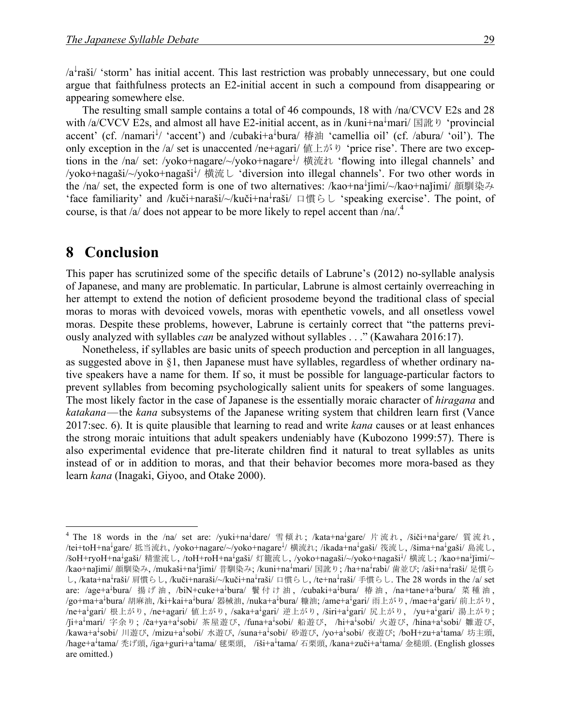/a↓ raši/ 'storm' has initial accent. This last restriction was probably unnecessary, but one could argue that faithfulness protects an E2-initial accent in such a compound from disappearing or appearing somewhere else.

The resulting small sample contains a total of 46 compounds, 18 with /na/CVCV E2s and 28 with /a/CVCV E2s, and almost all have E2-initial accent, as in /kuni+na  $\frac{1}{2}$  mari/ 国訛り 'provincial accent' (cf. /namari<sup>1</sup>/ 'accent') and /cubaki+a<sup>1</sup>bura/ 椿油 'camellia oil' (cf. /abura/ 'oil'). The only exception in the /a/ set is unaccented /ne+agari/ 値上がり 'price rise'. There are two exceptions in the /na/ set: /yoko+nagare/~/yoko+nagare<sup>↓</sup>/ 横流れ 'flowing into illegal channels' and /yoko+nagaši/~/yoko+nagaši<sup>l</sup>/ 横流し 'diversion into illegal channels'. For two other words in the /na/ set, the expected form is one of two alternatives: /kao+na<sup>↓</sup>jimi/~/kao+najimi/ 顔馴染み 'face familiarity' and /kuči+naraši/~/kuči+na<sup>↓</sup> raši/ 口慣らし 'speaking exercise'. The point, of course, is that /a/ does not appear to be more likely to repel accent than /na/.<sup>4</sup>

#### **8** Conclusion

This paper has scrutinized some of the specific details of Labrune's (2012) no-syllable analysis of Japanese, and many are problematic. In particular, Labrune is almost certainly overreaching in her attempt to extend the notion of deficient prosodeme beyond the traditional class of special moras to moras with devoiced vowels, moras with epenthetic vowels, and all onsetless vowel moras. Despite these problems, however, Labrune is certainly correct that "the patterns previously analyzed with syllables *can* be analyzed without syllables . . ." (Kawahara 2016:17).

Nonetheless, if syllables are basic units of speech production and perception in all languages, as suggested above in §1, then Japanese must have syllables, regardless of whether ordinary native speakers have a name for them. If so, it must be possible for language-particular factors to prevent syllables from becoming psychologically salient units for speakers of some languages. The most likely factor in the case of Japanese is the essentially moraic character of *hiragana* and *katakana*—the *kana* subsystems of the Japanese writing system that children learn first (Vance 2017:sec. 6). It is quite plausible that learning to read and write *kana* causes or at least enhances the strong moraic intuitions that adult speakers undeniably have (Kubozono 1999:57). There is also experimental evidence that pre-literate children find it natural to treat syllables as units instead of or in addition to moras, and that their behavior becomes more mora-based as they learn *kana* (Inagaki, Giyoo, and Otake 2000).

<sup>&</sup>lt;sup>4</sup> The 18 words in the /na/ set are: /yuki+na<sup>↓</sup>dare/ 雪傾れ; /kata+na<sup>↓</sup>gare/ 片流れ, /šiči+na<sup>↓</sup>gare/ 質流れ, /tei+toH+na<sup>↓</sup>gare/ 抵当流れ, /yoko+nagare/~/yoko+nagare<sup>↓</sup>/ 横流れ; /ikada+na<sup>↓</sup>gaši/ 筏流し, /šima+na<sup>↓</sup>gaši/ 島流し, /šoH+ryoH+na<sup>↓</sup>gaši/ 精霊流し, /toH+roH+na<sup>↓</sup>gaši/ 灯籠流し, /yoko+nagaši/~/yoko+nagaši<sup>↓</sup>/ 横流し; /kao+na<sup>↓</sup>jimi/~ /kao+najimi/ 顔馴染み, /mukaši+na<sup>↓</sup>jimi/ 昔馴染み; /kuni+na<sup>↓</sup>mari/ 国訛り; /ha+na<sup>↓</sup>rabi/ 歯並び; /aši+na<sup>↓</sup>raši/ 足慣ら し, /kata+na<sup>↓</sup>raši/ 肩慣らし, /kuči+naraši/~/kuči+na<sup>↓</sup>raši/ 口慣らし, /te+na<sup>↓</sup>raši/ 手慣らし. The 28 words in the /a/ set are: /age+a<sup>↓</sup>bura/ 揚げ油, /biN+cuke+a<sup>↓</sup>bura/ 鬢付け油, /cubaki+a<sup>↓</sup>bura/ 椿油, /na+tane+a<sup>↓</sup>bura/ 菜種油, /go+ma+a<sup>↓</sup>bura/ 胡麻油, /ki+kai+a<sup>↓</sup>bura/ 器械油, /nuka+a<sup>↓</sup>bura/ 糠油; /ame+a<sup>↓</sup>gari/ 雨上がり, /mae+a<sup>↓</sup>gari/ 前上がり, /ne+a↓gari/ 根上がり, /ne+agari/ 値上がり, /saka+a↓gari/ 逆上がり, /širi+a↓gari/ 尻上がり, /yu+a↓gari/ 湯上がり; /ji+a<sup>↓</sup>mari/ 字余り; /ča+ya+a<sup>↓</sup>sobi/ 茶屋遊び, /funa+a<sup>↓</sup>sobi/ 船遊び, /hi+a<sup>↓</sup>sobi/ 火遊び, /hina+a<sup>↓</sup>sobi/ 雛遊び, /kawa+a<sup>↓</sup>sobi/ 川遊び, /mizu+a<sup>↓</sup>sobi/ 水遊び, /suna+a<sup>↓</sup>sobi/ 砂遊び, /yo+a<sup>↓</sup>sobi/ 夜遊び; /boH+zu+a<sup>↓</sup>tama/ 坊主頭, /hage+a<sup>↓</sup>tama/ 禿げ頭, /iga+guri+a<sup>↓</sup>tama/ 毬栗頭, /iši+a<sup>↓</sup>tama/ 石栗頭, /kana+zuči+a<sup>↓</sup>tama/ 金槌頭. (English glosses) are omitted.)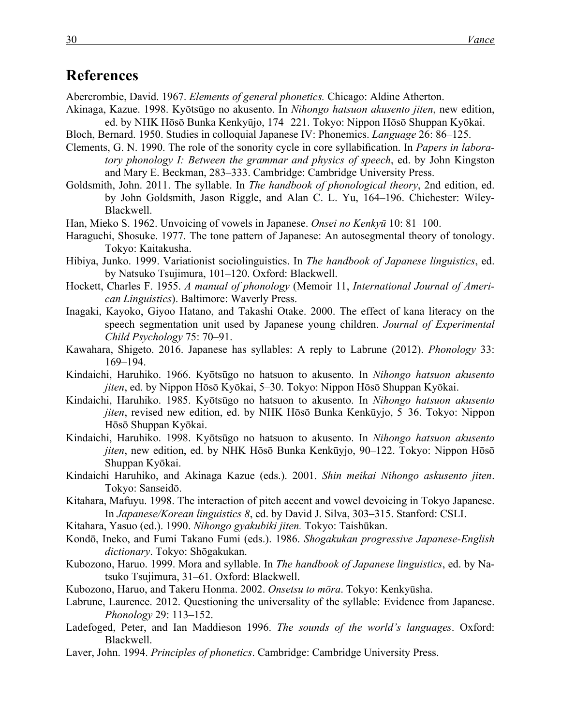### **References**

Abercrombie, David. 1967. *Elements of general phonetics.* Chicago: Aldine Atherton.

- Akinaga, Kazue. 1998. Kyōtsūgo no akusento. In *Nihongo hatsuon akusento jiten*, new edition, ed. by NHK Hōsō Bunka Kenkyūjo, 174–221. Tokyo: Nippon Hōsō Shuppan Kyōkai.
- Bloch, Bernard. 1950. Studies in colloquial Japanese IV: Phonemics. *Language* 26: 86–125.
- Clements, G. N. 1990. The role of the sonority cycle in core syllabification. In *Papers in laboratory phonology I: Between the grammar and physics of speech*, ed. by John Kingston and Mary E. Beckman, 283–333. Cambridge: Cambridge University Press.
- Goldsmith, John. 2011. The syllable. In *The handbook of phonological theory*, 2nd edition, ed. by John Goldsmith, Jason Riggle, and Alan C. L. Yu, 164–196. Chichester: Wiley-Blackwell.
- Han, Mieko S. 1962. Unvoicing of vowels in Japanese. *Onsei no Kenkyū* 10: 81–100.
- Haraguchi, Shosuke. 1977. The tone pattern of Japanese: An autosegmental theory of tonology. Tokyo: Kaitakusha.
- Hibiya, Junko. 1999. Variationist sociolinguistics. In *The handbook of Japanese linguistics*, ed. by Natsuko Tsujimura, 101–120. Oxford: Blackwell.
- Hockett, Charles F. 1955. *A manual of phonology* (Memoir 11, *International Journal of American Linguistics*). Baltimore: Waverly Press.
- Inagaki, Kayoko, Giyoo Hatano, and Takashi Otake. 2000. The effect of kana literacy on the speech segmentation unit used by Japanese young children. *Journal of Experimental Child Psychology* 75: 70–91.
- Kawahara, Shigeto. 2016. Japanese has syllables: A reply to Labrune (2012). *Phonology* 33: 169–194.
- Kindaichi, Haruhiko. 1966. Kyōtsūgo no hatsuon to akusento. In *Nihongo hatsuon akusento jiten*, ed. by Nippon Hōsō Kyōkai, 5–30. Tokyo: Nippon Hōsō Shuppan Kyōkai.
- Kindaichi, Haruhiko. 1985. Kyōtsūgo no hatsuon to akusento. In *Nihongo hatsuon akusento jiten*, revised new edition, ed. by NHK Hōsō Bunka Kenkūyjo, 5–36. Tokyo: Nippon Hōsō Shuppan Kyōkai.
- Kindaichi, Haruhiko. 1998. Kyōtsūgo no hatsuon to akusento. In *Nihongo hatsuon akusento jiten*, new edition, ed. by NHK Hōsō Bunka Kenkūyjo, 90–122. Tokyo: Nippon Hōsō Shuppan Kyōkai.
- Kindaichi Haruhiko, and Akinaga Kazue (eds.). 2001. *Shin meikai Nihongo askusento jiten*. Tokyo: Sanseidō.
- Kitahara, Mafuyu. 1998. The interaction of pitch accent and vowel devoicing in Tokyo Japanese. In *Japanese/Korean linguistics 8*, ed. by David J. Silva, 303–315. Stanford: CSLI.
- Kitahara, Yasuo (ed.). 1990. *Nihongo gyakubiki jiten.* Tokyo: Taishūkan.
- Kondō, Ineko, and Fumi Takano Fumi (eds.). 1986. *Shogakukan progressive Japanese-English dictionary*. Tokyo: Shōgakukan.
- Kubozono, Haruo. 1999. Mora and syllable. In *The handbook of Japanese linguistics*, ed. by Natsuko Tsujimura, 31–61. Oxford: Blackwell.
- Kubozono, Haruo, and Takeru Honma. 2002. *Onsetsu to mōra*. Tokyo: Kenkyūsha.
- Labrune, Laurence. 2012. Questioning the universality of the syllable: Evidence from Japanese. *Phonology* 29: 113–152.
- Ladefoged, Peter, and Ian Maddieson 1996. *The sounds of the world's languages*. Oxford: Blackwell.
- Laver, John. 1994. *Principles of phonetics*. Cambridge: Cambridge University Press.